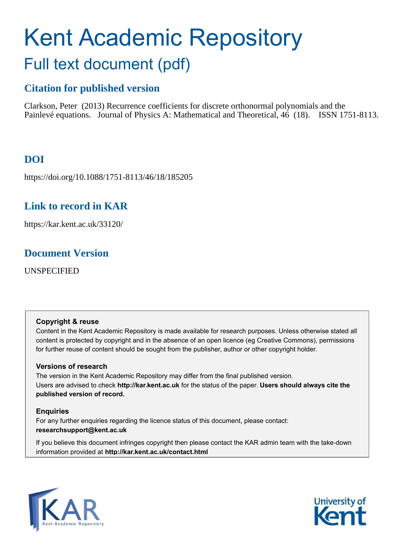# Kent Academic Repository Full text document (pdf)

# **Citation for published version**

Clarkson, Peter (2013) Recurrence coefficients for discrete orthonormal polynomials and the Painlevé equations. Journal of Physics A: Mathematical and Theoretical, 46 (18). ISSN 1751-8113.

# **DOI**

https://doi.org/10.1088/1751-8113/46/18/185205

## **Link to record in KAR**

https://kar.kent.ac.uk/33120/

## **Document Version**

UNSPECIFIED

## **Copyright & reuse**

Content in the Kent Academic Repository is made available for research purposes. Unless otherwise stated all content is protected by copyright and in the absence of an open licence (eg Creative Commons), permissions for further reuse of content should be sought from the publisher, author or other copyright holder.

## **Versions of research**

The version in the Kent Academic Repository may differ from the final published version. Users are advised to check **http://kar.kent.ac.uk** for the status of the paper. **Users should always cite the published version of record.**

## **Enquiries**

For any further enquiries regarding the licence status of this document, please contact: **researchsupport@kent.ac.uk**

If you believe this document infringes copyright then please contact the KAR admin team with the take-down information provided at **http://kar.kent.ac.uk/contact.html**



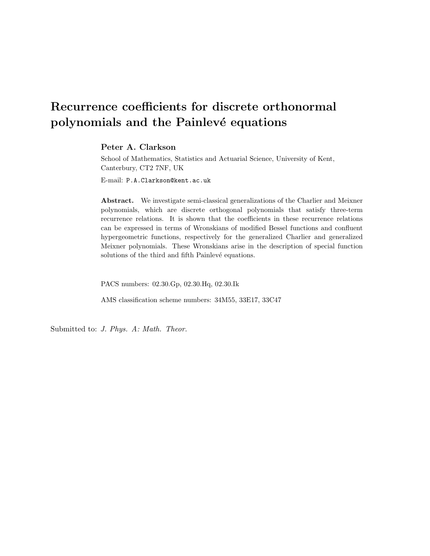# Recurrence coefficients for discrete orthonormal polynomials and the Painlevé equations

#### Peter A. Clarkson

School of Mathematics, Statistics and Actuarial Science, University of Kent, Canterbury, CT2 7NF, UK

E-mail: P.A.Clarkson@kent.ac.uk

Abstract. We investigate semi-classical generalizations of the Charlier and Meixner polynomials, which are discrete orthogonal polynomials that satisfy three-term recurrence relations. It is shown that the coefficients in these recurrence relations can be expressed in terms of Wronskians of modified Bessel functions and confluent hypergeometric functions, respectively for the generalized Charlier and generalized Meixner polynomials. These Wronskians arise in the description of special function solutions of the third and fifth Painlevé equations.

PACS numbers: 02.30.Gp, 02.30.Hq, 02.30.Ik

AMS classification scheme numbers: 34M55, 33E17, 33C47

Submitted to: *J. Phys. A: Math. Theor.*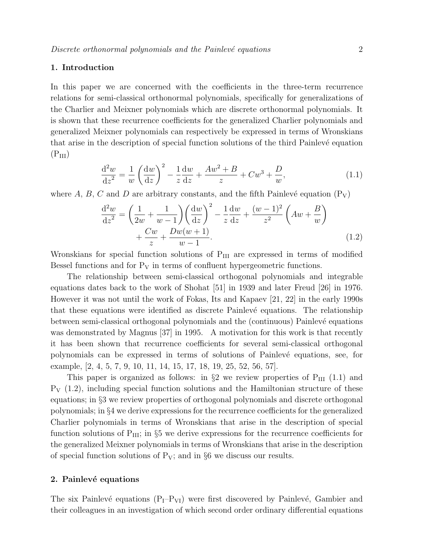#### 1. Introduction

In this paper we are concerned with the coefficients in the three-term recurrence relations for semi-classical orthonormal polynomials, specifically for generalizations of the Charlier and Meixner polynomials which are discrete orthonormal polynomials. It is shown that these recurrence coefficients for the generalized Charlier polynomials and generalized Meixner polynomials can respectively be expressed in terms of Wronskians that arise in the description of special function solutions of the third Painlevé equation  $(P_{III})$ 

$$
\frac{d^2w}{dz^2} = \frac{1}{w} \left(\frac{dw}{dz}\right)^2 - \frac{1}{z}\frac{dw}{dz} + \frac{Aw^2 + B}{z} + Cw^3 + \frac{D}{w},\tag{1.1}
$$

where A, B, C and D are arbitrary constants, and the fifth Painlevé equation  $(P_V)$ 

$$
\frac{d^2w}{dz^2} = \left(\frac{1}{2w} + \frac{1}{w-1}\right) \left(\frac{dw}{dz}\right)^2 - \frac{1}{z}\frac{dw}{dz} + \frac{(w-1)^2}{z^2} \left(Aw + \frac{B}{w}\right) + \frac{Cw}{z} + \frac{Dw(w+1)}{w-1}.
$$
\n(1.2)

Wronskians for special function solutions of  $P_{III}$  are expressed in terms of modified Bessel functions and for  $P_V$  in terms of confluent hypergeometric functions.

The relationship between semi-classical orthogonal polynomials and integrable equations dates back to the work of Shohat [51] in 1939 and later Freud [26] in 1976. However it was not until the work of Fokas, Its and Kapaev [21, 22] in the early 1990s that these equations were identified as discrete Painlevé equations. The relationship between semi-classical orthogonal polynomials and the (continuous) Painlevé equations was demonstrated by Magnus [37] in 1995. A motivation for this work is that recently it has been shown that recurrence coefficients for several semi-classical orthogonal polynomials can be expressed in terms of solutions of Painlev´e equations, see, for example, [2, 4, 5, 7, 9, 10, 11, 14, 15, 17, 18, 19, 25, 52, 56, 57].

This paper is organized as follows: in  $\S 2$  we review properties of  $P_{III}$  (1.1) and  $P_V$  (1.2), including special function solutions and the Hamiltonian structure of these equations; in §3 we review properties of orthogonal polynomials and discrete orthogonal polynomials; in §4 we derive expressions for the recurrence coefficients for the generalized Charlier polynomials in terms of Wronskians that arise in the description of special function solutions of  $P_{III}$ ; in §5 we derive expressions for the recurrence coefficients for the generalized Meixner polynomials in terms of Wronskians that arise in the description of special function solutions of  $P_V$ ; and in §6 we discuss our results.

#### 2. Painlevé equations

The six Painlevé equations  $(P_I-P_{VI})$  were first discovered by Painlevé, Gambier and their colleagues in an investigation of which second order ordinary differential equations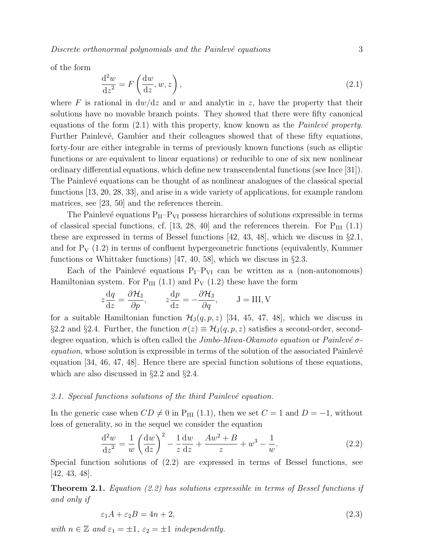Discrete orthonormal polynomials and the Painlevé equations 3

of the form

$$
\frac{\mathrm{d}^2 w}{\mathrm{d}z^2} = F\left(\frac{\mathrm{d}w}{\mathrm{d}z}, w, z\right),\tag{2.1}
$$

where F is rational in  $dw/dz$  and w and analytic in z, have the property that their solutions have no movable branch points. They showed that there were fifty canonical equations of the form  $(2.1)$  with this property, know known as the *Painlevé property*. Further Painlevé, Gambier and their colleagues showed that of these fifty equations, forty-four are either integrable in terms of previously known functions (such as elliptic functions or are equivalent to linear equations) or reducible to one of six new nonlinear ordinary differential equations, which define new transcendental functions (see Ince [31]). The Painlevé equations can be thought of as nonlinear analogues of the classical special functions [13, 20, 28, 33], and arise in a wide variety of applications, for example random matrices, see [23, 50] and the references therein.

The Painlevé equations  $P_{II}-P_{VI}$  possess hierarchies of solutions expressible in terms of classical special functions, cf. [13, 28, 40] and the references therein. For  $P_{III}$  (1.1) these are expressed in terms of Bessel functions [42, 43, 48], which we discuss in §2.1, and for  $P_V$  (1.2) in terms of confluent hypergeometric functions (equivalently, Kummer functions or Whittaker functions) [47, 40, 58], which we discuss in §2.3.

Each of the Painlevé equations  $P_1-P_{VI}$  can be written as a (non-autonomous) Hamiltonian system. For  $P_{III}$  (1.1) and  $P_V$  (1.2) these have the form

$$
z\frac{\mathrm{d}q}{\mathrm{d}z} = \frac{\partial \mathcal{H}_{\mathrm{J}}}{\partial p}, \qquad z\frac{\mathrm{d}p}{\mathrm{d}z} = -\frac{\partial \mathcal{H}_{\mathrm{J}}}{\partial q}, \qquad \mathrm{J} = \mathrm{III}, \mathrm{V}
$$

for a suitable Hamiltonian function  $\mathcal{H}_{J}(q, p, z)$  [34, 45, 47, 48], which we discuss in §2.2 and §2.4. Further, the function  $\sigma(z) \equiv \mathcal{H}_{J}(q,p,z)$  satisfies a second-order, seconddegree equation, which is often called the  $\lim_{\theta} b \lim_{\theta} c$  Ckamoto equation or Painlevé  $\sigma$ equation, whose solution is expressible in terms of the solution of the associated Painlevé equation [34, 46, 47, 48]. Hence there are special function solutions of these equations, which are also discussed in §2.2 and §2.4.

#### 2.1. Special functions solutions of the third Painlevé equation.

In the generic case when  $CD \neq 0$  in P<sub>III</sub> (1.1), then we set  $C = 1$  and  $D = -1$ , without loss of generality, so in the sequel we consider the equation

$$
\frac{d^2w}{dz^2} = \frac{1}{w} \left(\frac{dw}{dz}\right)^2 - \frac{1}{z}\frac{dw}{dz} + \frac{Aw^2 + B}{z} + w^3 - \frac{1}{w}.
$$
\n(2.2)

Special function solutions of (2.2) are expressed in terms of Bessel functions, see [42, 43, 48].

**Theorem 2.1.** Equation (2.2) has solutions expressible in terms of Bessel functions if and only if

$$
\varepsilon_1 A + \varepsilon_2 B = 4n + 2,\tag{2.3}
$$

with  $n \in \mathbb{Z}$  and  $\varepsilon_1 = \pm 1$ ,  $\varepsilon_2 = \pm 1$  independently.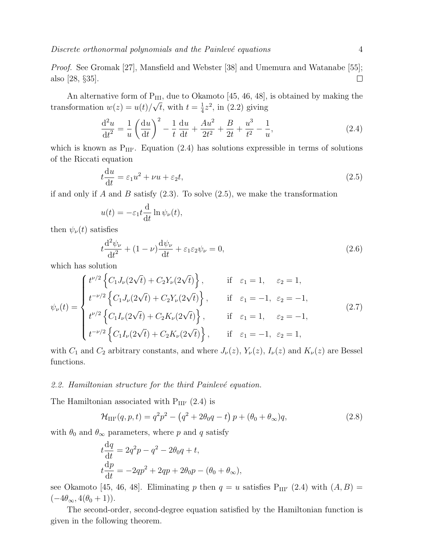Proof. See Gromak [27], Mansfield and Webster [38] and Umemura and Watanabe [55]; also [28, §35].  $\Box$ 

An alternative form of  $P_{III}$ , due to Okamoto [45, 46, 48], is obtained by making the transformation  $w(z) = u(t)/\sqrt{t}$ , with  $t = \frac{1}{4}$  $\frac{1}{4}z^2$ , in  $(2.2)$  giving

$$
\frac{d^2u}{dt^2} = \frac{1}{u} \left(\frac{du}{dt}\right)^2 - \frac{1}{t}\frac{du}{dt} + \frac{Au^2}{2t^2} + \frac{B}{2t} + \frac{u^3}{t^2} - \frac{1}{u},\tag{2.4}
$$

which is known as  $P_{III'}$ . Equation (2.4) has solutions expressible in terms of solutions of the Riccati equation

$$
t\frac{\mathrm{d}u}{\mathrm{d}t} = \varepsilon_1 u^2 + \nu u + \varepsilon_2 t,\tag{2.5}
$$

if and only if A and B satisfy  $(2.3)$ . To solve  $(2.5)$ , we make the transformation

$$
u(t) = -\varepsilon_1 t \frac{\mathrm{d}}{\mathrm{d}t} \ln \psi_{\nu}(t),
$$

then  $\psi_{\nu}(t)$  satisfies

$$
t\frac{\mathrm{d}^2\psi_\nu}{\mathrm{d}t^2} + (1-\nu)\frac{\mathrm{d}\psi_\nu}{\mathrm{d}t} + \varepsilon_1\varepsilon_2\psi_\nu = 0,\tag{2.6}
$$

which has solution

$$
\psi_{\nu}(t) = \begin{cases}\nt^{\nu/2} \left\{ C_1 J_{\nu} (2\sqrt{t}) + C_2 Y_{\nu} (2\sqrt{t}) \right\}, & \text{if } \varepsilon_1 = 1, \varepsilon_2 = 1, \\
t^{-\nu/2} \left\{ C_1 J_{\nu} (2\sqrt{t}) + C_2 Y_{\nu} (2\sqrt{t}) \right\}, & \text{if } \varepsilon_1 = -1, \varepsilon_2 = -1, \\
t^{\nu/2} \left\{ C_1 I_{\nu} (2\sqrt{t}) + C_2 K_{\nu} (2\sqrt{t}) \right\}, & \text{if } \varepsilon_1 = 1, \varepsilon_2 = -1, \\
t^{-\nu/2} \left\{ C_1 I_{\nu} (2\sqrt{t}) + C_2 K_{\nu} (2\sqrt{t}) \right\}, & \text{if } \varepsilon_1 = -1, \varepsilon_2 = 1,\n\end{cases} (2.7)
$$

with  $C_1$  and  $C_2$  arbitrary constants, and where  $J_{\nu}(z)$ ,  $Y_{\nu}(z)$ ,  $I_{\nu}(z)$  and  $K_{\nu}(z)$  are Bessel functions.

#### 2.2. Hamiltonian structure for the third Painlevé equation.

The Hamiltonian associated with  $P_{III'} (2.4)$  is

$$
\mathcal{H}_{\text{III}'}(q, p, t) = q^2 p^2 - \left(q^2 + 2\theta_0 q - t\right) p + \left(\theta_0 + \theta_\infty\right) q,\tag{2.8}
$$

with  $\theta_0$  and  $\theta_{\infty}$  parameters, where p and q satisfy

$$
t\frac{dq}{dt} = 2q^2p - q^2 - 2\theta_0q + t,
$$
  
\n
$$
t\frac{dp}{dt} = -2qp^2 + 2qp + 2\theta_0p - (\theta_0 + \theta_\infty),
$$

see Okamoto [45, 46, 48]. Eliminating p then  $q = u$  satisfies  $P_{III'}(2.4)$  with  $(A, B) =$  $(-4\theta_{\infty}, 4(\theta_0+1)).$ 

The second-order, second-degree equation satisfied by the Hamiltonian function is given in the following theorem.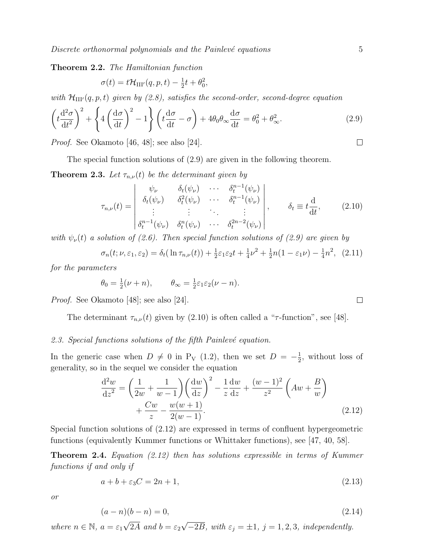Theorem 2.2. The Hamiltonian function

$$
\sigma(t) = t\mathcal{H}_{\text{III}'}(q, p, t) - \frac{1}{2}t + \theta_0^2,
$$

with  $\mathcal{H}_{\text{III'}}(q, p, t)$  given by (2.8), satisfies the second-order, second-degree equation

$$
\left(t\frac{\mathrm{d}^2\sigma}{\mathrm{d}t^2}\right)^2 + \left\{4\left(\frac{\mathrm{d}\sigma}{\mathrm{d}t}\right)^2 - 1\right\} \left(t\frac{\mathrm{d}\sigma}{\mathrm{d}t} - \sigma\right) + 4\theta_0 \theta_\infty \frac{\mathrm{d}\sigma}{\mathrm{d}t} = \theta_0^2 + \theta_\infty^2. \tag{2.9}
$$

Proof. See Okamoto [46, 48]; see also [24].

The special function solutions of (2.9) are given in the following theorem.

**Theorem 2.3.** Let  $\tau_{n,\nu}(t)$  be the determinant given by

$$
\tau_{n,\nu}(t) = \begin{vmatrix}\n\psi_{\nu} & \delta_t(\psi_{\nu}) & \cdots & \delta_t^{n-1}(\psi_{\nu}) \\
\delta_t(\psi_{\nu}) & \delta_t^2(\psi_{\nu}) & \cdots & \delta_t^{n-1}(\psi_{\nu}) \\
\vdots & \vdots & \ddots & \vdots \\
\delta_t^{n-1}(\psi_{\nu}) & \delta_t^n(\psi_{\nu}) & \cdots & \delta_t^{2n-2}(\psi_{\nu})\n\end{vmatrix}, \qquad \delta_t \equiv t \frac{d}{dt}, \qquad (2.10)
$$

with  $\psi_{\nu}(t)$  a solution of (2.6). Then special function solutions of (2.9) are given by

$$
\sigma_n(t; \nu, \varepsilon_1, \varepsilon_2) = \delta_t(\ln \tau_{n,\nu}(t)) + \frac{1}{2}\varepsilon_1\varepsilon_2 t + \frac{1}{4}\nu^2 + \frac{1}{2}n(1 - \varepsilon_1\nu) - \frac{1}{4}n^2, (2.11)
$$

for the parameters

$$
\theta_0 = \frac{1}{2}(\nu + n), \qquad \theta_{\infty} = \frac{1}{2}\varepsilon_1\varepsilon_2(\nu - n).
$$

Proof. See Okamoto [48]; see also [24].

The determinant  $\tau_{n,\nu}(t)$  given by (2.10) is often called a " $\tau$ -function", see [48].

#### 2.3. Special functions solutions of the fifth Painlevé equation.

In the generic case when  $D \neq 0$  in P<sub>V</sub> (1.2), then we set  $D = -\frac{1}{2}$  $\frac{1}{2}$ , without loss of generality, so in the sequel we consider the equation

$$
\frac{d^2w}{dz^2} = \left(\frac{1}{2w} + \frac{1}{w-1}\right) \left(\frac{dw}{dz}\right)^2 - \frac{1}{z}\frac{dw}{dz} + \frac{(w-1)^2}{z^2} \left(Aw + \frac{B}{w}\right) + \frac{Cw}{z} - \frac{w(w+1)}{2(w-1)}.
$$
\n(2.12)

Special function solutions of (2.12) are expressed in terms of confluent hypergeometric functions (equivalently Kummer functions or Whittaker functions), see [47, 40, 58].

Theorem 2.4. Equation (2.12) then has solutions expressible in terms of Kummer functions if and only if

$$
a + b + \varepsilon_3 C = 2n + 1,\tag{2.13}
$$

or

$$
(a - n)(b - n) = 0,\t\t(2.14)
$$

where  $n \in \mathbb{N}$ ,  $a = \varepsilon_1 \sqrt{2A}$  and  $b = \varepsilon_2 \sqrt{-2B}$ , with  $\varepsilon_j = \pm 1$ ,  $j = 1, 2, 3$ , independently.

 $\Box$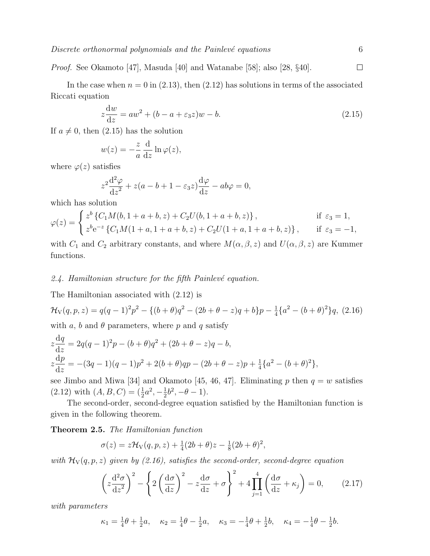Proof. See Okamoto [47], Masuda [40] and Watanabe [58]; also [28, §40].  $\Box$ 

In the case when  $n = 0$  in (2.13), then (2.12) has solutions in terms of the associated Riccati equation

$$
z\frac{\mathrm{d}w}{\mathrm{d}z} = aw^2 + (b - a + \varepsilon_3 z)w - b.\tag{2.15}
$$

If  $a \neq 0$ , then (2.15) has the solution

$$
w(z) = -\frac{z}{a} \frac{\mathrm{d}}{\mathrm{d}z} \ln \varphi(z),
$$

where  $\varphi(z)$  satisfies

$$
z^{2} \frac{d^{2} \varphi}{dz^{2}} + z(a - b + 1 - \varepsilon_{3} z) \frac{d \varphi}{dz} - ab \varphi = 0,
$$

which has solution

$$
\varphi(z) = \begin{cases} z^b \left\{ C_1 M(b, 1 + a + b, z) + C_2 U(b, 1 + a + b, z) \right\}, & \text{if } \varepsilon_3 = 1, \\ z^b e^{-z} \left\{ C_1 M(1 + a, 1 + a + b, z) + C_2 U(1 + a, 1 + a + b, z) \right\}, & \text{if } \varepsilon_3 = -1, \end{cases}
$$

with  $C_1$  and  $C_2$  arbitrary constants, and where  $M(\alpha, \beta, z)$  and  $U(\alpha, \beta, z)$  are Kummer functions.

#### 2.4. Hamiltonian structure for the fifth Painlevé equation.

The Hamiltonian associated with (2.12) is

$$
\mathcal{H}_{V}(q, p, z) = q(q - 1)^{2} p^{2} - \{(b + \theta)q^{2} - (2b + \theta - z)q + b\}p - \frac{1}{4}\{a^{2} - (b + \theta)^{2}\}q, (2.16)
$$

with a, b and  $\theta$  parameters, where p and q satisfy

$$
z\frac{dq}{dz} = 2q(q-1)^2p - (b+\theta)q^2 + (2b+\theta-z)q - b,
$$
  
\n
$$
z\frac{dp}{dz} = -(3q-1)(q-1)p^2 + 2(b+\theta)qp - (2b+\theta-z)p + \frac{1}{4}{a^2 - (b+\theta)^2},
$$

see Jimbo and Miwa [34] and Okamoto [45, 46, 47]. Eliminating p then  $q = w$  satisfies  $(2.12)$  with  $(A, B, C) = (\frac{1}{2}a^2, -\frac{1}{2})$  $\frac{1}{2}b^2$ ,  $-\theta - 1$ ).

The second-order, second-degree equation satisfied by the Hamiltonian function is given in the following theorem.

Theorem 2.5. The Hamiltonian function

$$
\sigma(z) = z\mathcal{H}_{V}(q, p, z) + \frac{1}{4}(2b + \theta)z - \frac{1}{8}(2b + \theta)^{2},
$$

with  $\mathcal{H}_{V}(q, p, z)$  given by (2.16), satisfies the second-order, second-degree equation

$$
\left(z\frac{\mathrm{d}^2\sigma}{\mathrm{d}z^2}\right)^2 - \left\{2\left(\frac{\mathrm{d}\sigma}{\mathrm{d}z}\right)^2 - z\frac{\mathrm{d}\sigma}{\mathrm{d}z} + \sigma\right\}^2 + 4\prod_{j=1}^4 \left(\frac{\mathrm{d}\sigma}{\mathrm{d}z} + \kappa_j\right) = 0,\tag{2.17}
$$

with parameters

$$
\kappa_1 = \frac{1}{4}\theta + \frac{1}{2}a
$$
,  $\kappa_2 = \frac{1}{4}\theta - \frac{1}{2}a$ ,  $\kappa_3 = -\frac{1}{4}\theta + \frac{1}{2}b$ ,  $\kappa_4 = -\frac{1}{4}\theta - \frac{1}{2}b$ .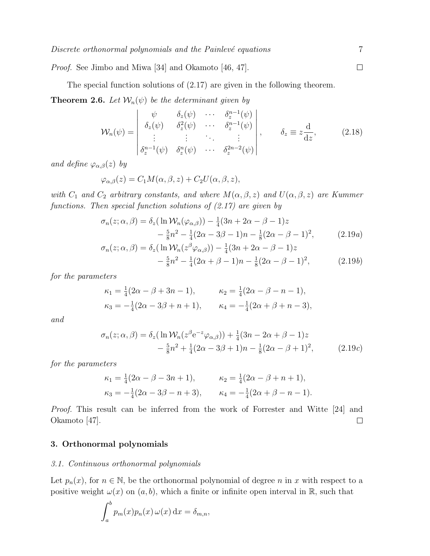Proof. See Jimbo and Miwa [34] and Okamoto [46, 47].

The special function solutions of (2.17) are given in the following theorem.

**Theorem 2.6.** Let  $W_n(\psi)$  be the determinant given by

$$
\mathcal{W}_n(\psi) = \begin{vmatrix} \psi & \delta_z(\psi) & \cdots & \delta_z^{n-1}(\psi) \\ \delta_z(\psi) & \delta_z^2(\psi) & \cdots & \delta_z^{n-1}(\psi) \\ \vdots & \vdots & \ddots & \vdots \\ \delta_z^{n-1}(\psi) & \delta_z^n(\psi) & \cdots & \delta_z^{2n-2}(\psi) \end{vmatrix}, \qquad \delta_z \equiv z \frac{d}{dz}, \qquad (2.18)
$$

and define  $\varphi_{\alpha,\beta}(z)$  by

$$
\varphi_{\alpha,\beta}(z) = C_1 M(\alpha,\beta,z) + C_2 U(\alpha,\beta,z),
$$

with  $C_1$  and  $C_2$  arbitrary constants, and where  $M(\alpha, \beta, z)$  and  $U(\alpha, \beta, z)$  are Kummer functions. Then special function solutions of  $(2.17)$  are given by

$$
\sigma_n(z; \alpha, \beta) = \delta_z(\ln \mathcal{W}_n(\varphi_{\alpha, \beta})) - \frac{1}{4}(3n + 2\alpha - \beta - 1)z \n- \frac{5}{8}n^2 - \frac{1}{4}(2\alpha - 3\beta - 1)n - \frac{1}{8}(2\alpha - \beta - 1)^2, \qquad (2.19a) \n\sigma_n(z; \alpha, \beta) = \delta_z(\ln \mathcal{W}_n(z^{\beta}\varphi_{\alpha, \beta})) - \frac{1}{4}(3n + 2\alpha - \beta - 1)z \n- \frac{5}{8}n^2 - \frac{1}{4}(2\alpha + \beta - 1)n - \frac{1}{8}(2\alpha - \beta - 1)^2, \qquad (2.19b)
$$

for the parameters

$$
\kappa_1 = \frac{1}{4}(2\alpha - \beta + 3n - 1), \qquad \kappa_2 = \frac{1}{4}(2\alpha - \beta - n - 1),
$$
  

$$
\kappa_3 = -\frac{1}{4}(2\alpha - 3\beta + n + 1), \qquad \kappa_4 = -\frac{1}{4}(2\alpha + \beta + n - 3),
$$

and

$$
\sigma_n(z; \alpha, \beta) = \delta_z(\ln \mathcal{W}_n(z^{\beta} e^{-z} \varphi_{\alpha, \beta})) + \frac{1}{4}(3n - 2\alpha + \beta - 1)z \n- \frac{5}{8}n^2 + \frac{1}{4}(2\alpha - 3\beta + 1)n - \frac{1}{8}(2\alpha - \beta + 1)^2,
$$
\n(2.19*c*)

for the parameters

$$
\kappa_1 = \frac{1}{4}(2\alpha - \beta - 3n + 1), \qquad \kappa_2 = \frac{1}{4}(2\alpha - \beta + n + 1),
$$
  

$$
\kappa_3 = -\frac{1}{4}(2\alpha - 3\beta - n + 3), \qquad \kappa_4 = -\frac{1}{4}(2\alpha + \beta - n - 1).
$$

Proof. This result can be inferred from the work of Forrester and Witte [24] and Okamoto [47].  $\Box$ 

#### 3. Orthonormal polynomials

#### 3.1. Continuous orthonormal polynomials

Let  $p_n(x)$ , for  $n \in \mathbb{N}$ , be the orthonormal polynomial of degree n in x with respect to a positive weight  $\omega(x)$  on  $(a, b)$ , which a finite or infinite open interval in R, such that

$$
\int_a^b p_m(x)p_n(x)\,\omega(x)\,\mathrm{d}x = \delta_{m,n},
$$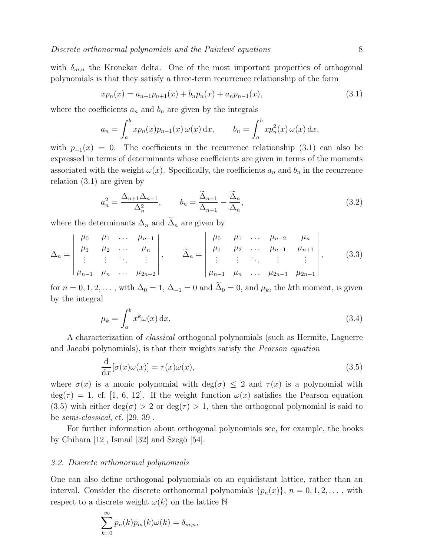with  $\delta_{m,n}$  the Kronekar delta. One of the most important properties of orthogonal polynomials is that they satisfy a three-term recurrence relationship of the form

$$
xp_n(x) = a_{n+1}p_{n+1}(x) + b_n p_n(x) + a_n p_{n-1}(x),
$$
\n(3.1)

where the coefficients  $a_n$  and  $b_n$  are given by the integrals

$$
a_n = \int_a^b x p_n(x) p_{n-1}(x) \omega(x) dx, \qquad b_n = \int_a^b x p_n^2(x) \omega(x) dx,
$$

with  $p_{-1}(x) = 0$ . The coefficients in the recurrence relationship (3.1) can also be expressed in terms of determinants whose coefficients are given in terms of the moments associated with the weight  $\omega(x)$ . Specifically, the coefficients  $a_n$  and  $b_n$  in the recurrence relation (3.1) are given by

$$
a_n^2 = \frac{\Delta_{n+1}\Delta_{n-1}}{\Delta_n^2}, \qquad b_n = \frac{\widetilde{\Delta}_{n+1}}{\Delta_{n+1}} - \frac{\widetilde{\Delta}_n}{\Delta_n},\tag{3.2}
$$

where the determinants  $\Delta_n$  and  $\tilde{\Delta}_n$  are given by

$$
\Delta_n = \begin{vmatrix} \mu_0 & \mu_1 & \cdots & \mu_{n-1} \\ \mu_1 & \mu_2 & \cdots & \mu_n \\ \vdots & \vdots & \ddots & \vdots \\ \mu_{n-1} & \mu_n & \cdots & \mu_{2n-2} \end{vmatrix}, \qquad \widetilde{\Delta}_n = \begin{vmatrix} \mu_0 & \mu_1 & \cdots & \mu_{n-2} & \mu_n \\ \mu_1 & \mu_2 & \cdots & \mu_{n-1} & \mu_{n+1} \\ \vdots & \vdots & \ddots & \vdots & \vdots \\ \mu_{n-1} & \mu_n & \cdots & \mu_{2n-3} & \mu_{2n-1} \end{vmatrix}, \qquad (3.3)
$$

for  $n = 0, 1, 2, \ldots$ , with  $\Delta_0 = 1, \Delta_{-1} = 0$  and  $\widetilde{\Delta}_0 = 0$ , and  $\mu_k$ , the kth moment, is given by the integral

$$
\mu_k = \int_a^b x^k \omega(x) \, \mathrm{d}x. \tag{3.4}
$$

A characterization of classical orthogonal polynomials (such as Hermite, Laguerre and Jacobi polynomials), is that their weights satisfy the Pearson equation

$$
\frac{\mathrm{d}}{\mathrm{d}x}[\sigma(x)\omega(x)] = \tau(x)\omega(x),\tag{3.5}
$$

where  $\sigma(x)$  is a monic polynomial with  $\deg(\sigma) \leq 2$  and  $\tau(x)$  is a polynomial with  $deg(\tau) = 1$ , cf. [1, 6, 12]. If the weight function  $\omega(x)$  satisfies the Pearson equation (3.5) with either deg( $\sigma$ ) > 2 or deg( $\tau$ ) > 1, then the orthogonal polynomial is said to be semi-classical, cf. [29, 39].

For further information about orthogonal polynomials see, for example, the books by Chihara  $[12]$ , Ismail  $[32]$  and Szegö  $[54]$ .

#### 3.2. Discrete orthonormal polynomials

One can also define orthogonal polynomials on an equidistant lattice, rather than an interval. Consider the discrete orthonormal polynomials  $\{p_n(x)\}\,$ ,  $n = 0, 1, 2, \ldots$ , with respect to a discrete weight  $\omega(k)$  on the lattice N

$$
\sum_{k=0}^{\infty} p_n(k) p_m(k) \omega(k) = \delta_{m,n},
$$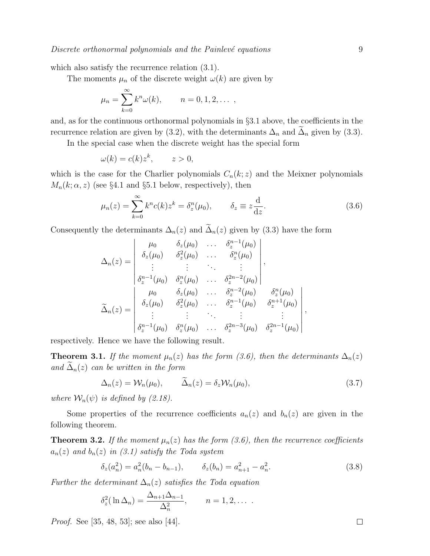which also satisfy the recurrence relation  $(3.1)$ .

The moments  $\mu_n$  of the discrete weight  $\omega(k)$  are given by

$$
\mu_n = \sum_{k=0}^{\infty} k^n \omega(k), \qquad n = 0, 1, 2, \dots,
$$

and, as for the continuous orthonormal polynomials in §3.1 above, the coefficients in the recurrence relation are given by (3.2), with the determinants  $\Delta_n$  and  $\Delta_n$  given by (3.3).

In the special case when the discrete weight has the special form

$$
\omega(k) = c(k)z^k, \qquad z > 0,
$$

which is the case for the Charlier polynomials  $C_n(k; z)$  and the Meixner polynomials  $M_n(k; \alpha, z)$  (see §4.1 and §5.1 below, respectively), then

$$
\mu_n(z) = \sum_{k=0}^{\infty} k^n c(k) z^k = \delta_z^n(\mu_0), \qquad \delta_z \equiv z \frac{\mathrm{d}}{\mathrm{d}z}.
$$
\n(3.6)

Consequently the determinants  $\Delta_n(z)$  and  $\tilde{\Delta}_n(z)$  given by (3.3) have the form

$$
\Delta_n(z) = \begin{vmatrix}\n\mu_0 & \delta_z(\mu_0) & \dots & \delta_z^{n-1}(\mu_0) \\
\delta_z(\mu_0) & \delta_z^2(\mu_0) & \dots & \delta_z^{n}(\mu_0) \\
\vdots & \vdots & \ddots & \vdots \\
\delta_z^{n-1}(\mu_0) & \delta_z^n(\mu_0) & \dots & \delta_z^{2n-2}(\mu_0)\n\end{vmatrix}, \\
\widetilde{\Delta}_n(z) = \begin{vmatrix}\n\mu_0 & \delta_z(\mu_0) & \dots & \delta_z^{n-2}(\mu_0) & \delta_z^n(\mu_0) \\
\delta_z(\mu_0) & \delta_z^2(\mu_0) & \dots & \delta_z^{n-1}(\mu_0) & \delta_z^{n+1}(\mu_0) \\
\vdots & \vdots & \ddots & \vdots & \vdots \\
\delta_z^{n-1}(\mu_0) & \delta_z^n(\mu_0) & \dots & \delta_z^{2n-3}(\mu_0) & \delta_z^{2n-1}(\mu_0)\n\end{vmatrix},
$$

respectively. Hence we have the following result.

**Theorem 3.1.** If the moment  $\mu_n(z)$  has the form (3.6), then the determinants  $\Delta_n(z)$ and  $\Delta_n(z)$  can be written in the form

$$
\Delta_n(z) = \mathcal{W}_n(\mu_0), \qquad \widetilde{\Delta}_n(z) = \delta_z \mathcal{W}_n(\mu_0), \tag{3.7}
$$

where  $\mathcal{W}_n(\psi)$  is defined by (2.18).

Some properties of the recurrence coefficients  $a_n(z)$  and  $b_n(z)$  are given in the following theorem.

**Theorem 3.2.** If the moment  $\mu_n(z)$  has the form (3.6), then the recurrence coefficients  $a_n(z)$  and  $b_n(z)$  in (3.1) satisfy the Toda system

$$
\delta_z(a_n^2) = a_n^2(b_n - b_{n-1}), \qquad \delta_z(b_n) = a_{n+1}^2 - a_n^2. \tag{3.8}
$$

Further the determinant  $\Delta_n(z)$  satisfies the Toda equation

$$
\delta_z^2(\ln \Delta_n) = \frac{\Delta_{n+1}\Delta_{n-1}}{\Delta_n^2}, \qquad n = 1, 2, \dots
$$

Proof. See [35, 48, 53]; see also [44].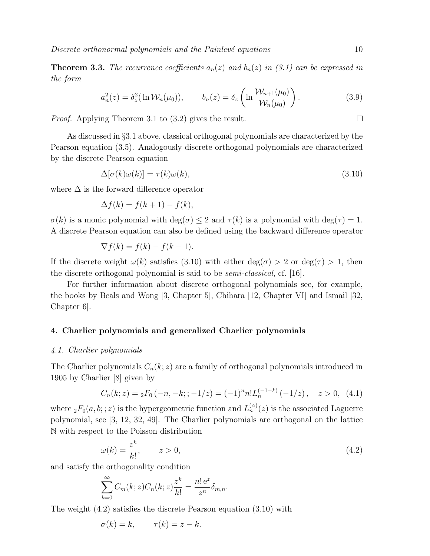**Theorem 3.3.** The recurrence coefficients  $a_n(z)$  and  $b_n(z)$  in (3.1) can be expressed in the form

$$
a_n^2(z) = \delta_z^2(\ln \mathcal{W}_n(\mu_0)), \qquad b_n(z) = \delta_z\left(\ln \frac{\mathcal{W}_{n+1}(\mu_0)}{\mathcal{W}_n(\mu_0)}\right).
$$
 (3.9)

Proof. Applying Theorem 3.1 to (3.2) gives the result.

As discussed in §3.1 above, classical orthogonal polynomials are characterized by the Pearson equation (3.5). Analogously discrete orthogonal polynomials are characterized by the discrete Pearson equation

$$
\Delta[\sigma(k)\omega(k)] = \tau(k)\omega(k),\tag{3.10}
$$

where  $\Delta$  is the forward difference operator

$$
\Delta f(k) = f(k+1) - f(k),
$$

 $\sigma(k)$  is a monic polynomial with  $\deg(\sigma) \leq 2$  and  $\tau(k)$  is a polynomial with  $\deg(\tau) = 1$ . A discrete Pearson equation can also be defined using the backward difference operator

$$
\nabla f(k) = f(k) - f(k-1).
$$

If the discrete weight  $\omega(k)$  satisfies (3.10) with either deg( $\sigma$ ) > 2 or deg( $\tau$ ) > 1, then the discrete orthogonal polynomial is said to be semi-classical, cf. [16].

For further information about discrete orthogonal polynomials see, for example, the books by Beals and Wong [3, Chapter 5], Chihara [12, Chapter VI] and Ismail [32, Chapter 6].

#### 4. Charlier polynomials and generalized Charlier polynomials

#### 4.1. Charlier polynomials

The Charlier polynomials  $C_n(k; z)$  are a family of orthogonal polynomials introduced in 1905 by Charlier [8] given by

$$
C_n(k; z) = {}_2F_0(-n, -k; ; -1/z) = (-1)^n n! L_n^{(-1-k)}(-1/z), \quad z > 0, \tag{4.1}
$$

where  ${}_2F_0(a,b;;z)$  is the hypergeometric function and  $L_n^{(\alpha)}(z)$  is the associated Laguerre polynomial, see [3, 12, 32, 49]. The Charlier polynomials are orthogonal on the lattice N with respect to the Poisson distribution

$$
\omega(k) = \frac{z^k}{k!}, \qquad z > 0,
$$
\n
$$
(4.2)
$$

and satisfy the orthogonality condition

$$
\sum_{k=0}^{\infty} C_m(k; z) C_n(k; z) \frac{z^k}{k!} = \frac{n! e^z}{z^n} \delta_{m,n}.
$$

The weight (4.2) satisfies the discrete Pearson equation (3.10) with

$$
\sigma(k) = k, \qquad \tau(k) = z - k.
$$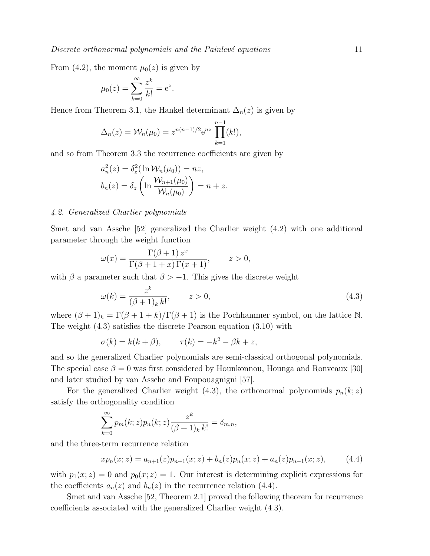From (4.2), the moment  $\mu_0(z)$  is given by

$$
\mu_0(z) = \sum_{k=0}^{\infty} \frac{z^k}{k!} = e^z.
$$

Hence from Theorem 3.1, the Hankel determinant  $\Delta_n(z)$  is given by

$$
\Delta_n(z) = \mathcal{W}_n(\mu_0) = z^{n(n-1)/2} e^{nz} \prod_{k=1}^{n-1} (k!),
$$

and so from Theorem 3.3 the recurrence coefficients are given by

$$
a_n^2(z) = \delta_z^2(\ln \mathcal{W}_n(\mu_0)) = nz,
$$
  

$$
b_n(z) = \delta_z \left(\ln \frac{\mathcal{W}_{n+1}(\mu_0)}{\mathcal{W}_n(\mu_0)}\right) = n + z.
$$

#### 4.2. Generalized Charlier polynomials

Smet and van Assche [52] generalized the Charlier weight (4.2) with one additional parameter through the weight function

$$
\omega(x) = \frac{\Gamma(\beta + 1) z^x}{\Gamma(\beta + 1 + x) \Gamma(x + 1)}, \qquad z > 0,
$$

with  $\beta$  a parameter such that  $\beta > -1$ . This gives the discrete weight

$$
\omega(k) = \frac{z^k}{(\beta+1)_k k!}, \qquad z > 0,
$$
\n
$$
(4.3)
$$

where  $(\beta + 1)_k = \Gamma(\beta + 1 + k)/\Gamma(\beta + 1)$  is the Pochhammer symbol, on the lattice N. The weight (4.3) satisfies the discrete Pearson equation (3.10) with

$$
\sigma(k) = k(k+\beta), \qquad \tau(k) = -k^2 - \beta k + z,
$$

and so the generalized Charlier polynomials are semi-classical orthogonal polynomials. The special case  $\beta = 0$  was first considered by Hounkonnou, Hounga and Ronveaux [30] and later studied by van Assche and Foupouagnigni [57].

For the generalized Charlier weight (4.3), the orthonormal polynomials  $p_n(k; z)$ satisfy the orthogonality condition

$$
\sum_{k=0}^{\infty} p_m(k; z) p_n(k; z) \frac{z^k}{(\beta + 1)_k k!} = \delta_{m,n},
$$

and the three-term recurrence relation

$$
xp_n(x; z) = a_{n+1}(z)p_{n+1}(x; z) + b_n(z)p_n(x; z) + a_n(z)p_{n-1}(x; z), \qquad (4.4)
$$

with  $p_1(x; z) = 0$  and  $p_0(x; z) = 1$ . Our interest is determining explicit expressions for the coefficients  $a_n(z)$  and  $b_n(z)$  in the recurrence relation (4.4).

Smet and van Assche [52, Theorem 2.1] proved the following theorem for recurrence coefficients associated with the generalized Charlier weight (4.3).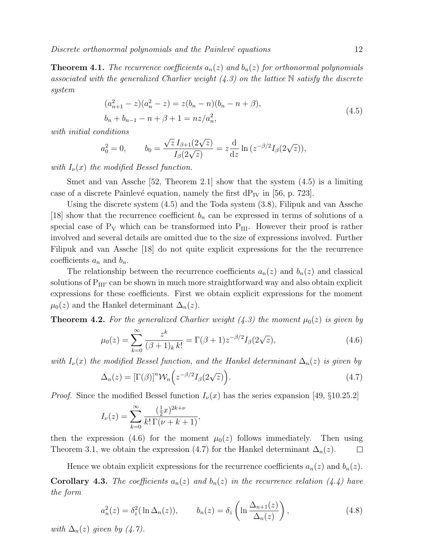**Theorem 4.1.** The recurrence coefficients  $a_n(z)$  and  $b_n(z)$  for orthonormal polynomials associated with the generalized Charlier weight  $(4.3)$  on the lattice N satisfy the discrete system

$$
(a_{n+1}^2 - z)(a_n^2 - z) = z(b_n - n)(b_n - n + \beta),
$$
  
\n
$$
b_n + b_{n-1} - n + \beta + 1 = nz/a_n^2,
$$
\n(4.5)

with initial conditions

$$
a_0^2 = 0
$$
,  $b_0 = \frac{\sqrt{z} I_{\beta+1}(2\sqrt{z})}{I_{\beta}(2\sqrt{z})} = z \frac{d}{dz} \ln (z^{-\beta/2} I_{\beta}(2\sqrt{z})),$ 

with  $I_{\nu}(x)$  the modified Bessel function.

Smet and van Assche  $[52,$  Theorem 2.1 show that the system  $(4.5)$  is a limiting case of a discrete Painlevé equation, namely the first  $dP_{IV}$  in [56, p. 723].

Using the discrete system (4.5) and the Toda system (3.8), Filipuk and van Assche [18] show that the recurrence coefficient  $b_n$  can be expressed in terms of solutions of a special case of  $P_V$  which can be transformed into  $P_{III}$ . However their proof is rather involved and several details are omitted due to the size of expressions involved. Further Filipuk and van Assche [18] do not quite explicit expressions for the the recurrence coefficients  $a_n$  and  $b_n$ .

The relationship between the recurrence coefficients  $a_n(z)$  and  $b_n(z)$  and classical solutions of  $P_{III'}$  can be shown in much more straightforward way and also obtain explicit expressions for these coefficients. First we obtain explicit expressions for the moment  $\mu_0(z)$  and the Hankel determinant  $\Delta_n(z)$ .

**Theorem 4.2.** For the generalized Charlier weight (4.3) the moment  $\mu_0(z)$  is given by

$$
\mu_0(z) = \sum_{k=0}^{\infty} \frac{z^k}{(\beta+1)_k k!} = \Gamma(\beta+1) z^{-\beta/2} I_{\beta}(2\sqrt{z}), \tag{4.6}
$$

with  $I_{\nu}(x)$  the modified Bessel function, and the Hankel determinant  $\Delta_n(z)$  is given by

$$
\Delta_n(z) = [\Gamma(\beta)]^n \mathcal{W}_n\left(z^{-\beta/2} I_\beta(2\sqrt{z})\right). \tag{4.7}
$$

*Proof.* Since the modified Bessel function  $I_{\nu}(x)$  has the series expansion [49, §10.25.2]

$$
I_{\nu}(z) = \sum_{k=0}^{\infty} \frac{(\frac{1}{2}x)^{2k+\nu}}{k!\,\Gamma(\nu+k+1)},
$$

then the expression (4.6) for the moment  $\mu_0(z)$  follows immediately. Then using Theorem 3.1, we obtain the expression (4.7) for the Hankel determinant  $\Delta_n(z)$ .  $\Box$ 

Hence we obtain explicit expressions for the recurrence coefficients  $a_n(z)$  and  $b_n(z)$ . **Corollary 4.3.** The coefficients  $a_n(z)$  and  $b_n(z)$  in the recurrence relation (4.4) have the form

$$
a_n^2(z) = \delta_z^2(\ln \Delta_n(z)), \qquad b_n(z) = \delta_z\left(\ln \frac{\Delta_{n+1}(z)}{\Delta_n(z)}\right), \tag{4.8}
$$

with  $\Delta_n(z)$  given by  $(4.7)$ .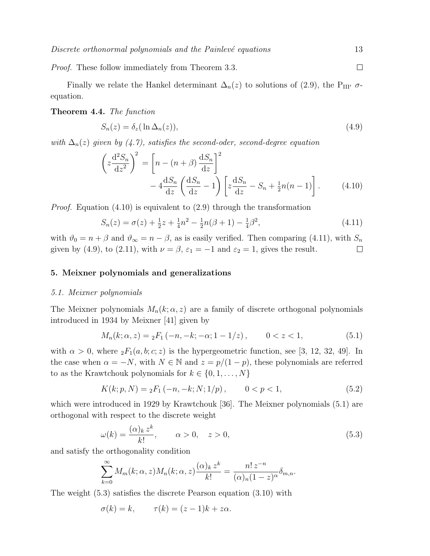Proof. These follow immediately from Theorem 3.3.  $\Box$ 

Finally we relate the Hankel determinant  $\Delta_n(z)$  to solutions of (2.9), the P<sub>III'</sub>  $\sigma$ equation.

### Theorem 4.4. The function

$$
S_n(z) = \delta_z(\ln \Delta_n(z)),\tag{4.9}
$$

with  $\Delta_n(z)$  given by (4.7), satisfies the second-oder, second-degree equation

$$
\left(z\frac{d^2S_n}{dz^2}\right)^2 = \left[n - (n+\beta)\frac{dS_n}{dz}\right]^2
$$

$$
-4\frac{dS_n}{dz}\left(\frac{dS_n}{dz} - 1\right)\left[z\frac{dS_n}{dz} - S_n + \frac{1}{2}n(n-1)\right].\tag{4.10}
$$

Proof. Equation (4.10) is equivalent to (2.9) through the transformation

$$
S_n(z) = \sigma(z) + \frac{1}{2}z + \frac{1}{4}n^2 - \frac{1}{2}n(\beta + 1) - \frac{1}{4}\beta^2,
$$
\n(4.11)

with  $\vartheta_0 = n + \beta$  and  $\vartheta_{\infty} = n - \beta$ , as is easily verified. Then comparing (4.11), with  $S_n$ given by (4.9), to (2.11), with  $\nu = \beta$ ,  $\varepsilon_1 = -1$  and  $\varepsilon_2 = 1$ , gives the result.  $\Box$ 

#### 5. Meixner polynomials and generalizations

#### 5.1. Meixner polynomials

The Meixner polynomials  $M_n(k; \alpha, z)$  are a family of discrete orthogonal polynomials introduced in 1934 by Meixner [41] given by

$$
M_n(k; \alpha, z) = {}_2F_1(-n, -k; -\alpha; 1-1/z), \qquad 0 < z < 1,\tag{5.1}
$$

with  $\alpha > 0$ , where  $_2F_1(a, b; c; z)$  is the hypergeometric function, see [3, 12, 32, 49]. In the case when  $\alpha = -N$ , with  $N \in \mathbb{N}$  and  $z = p/(1-p)$ , these polynomials are referred to as the Krawtchouk polynomials for  $k \in \{0, 1, ..., N\}$ 

$$
K(k; p, N) = {}_{2}F_{1}(-n, -k; N; 1/p), \qquad 0 < p < 1,\tag{5.2}
$$

which were introduced in 1929 by Krawtchouk [36]. The Meixner polynomials (5.1) are orthogonal with respect to the discrete weight

$$
\omega(k) = \frac{(\alpha)_k z^k}{k!}, \qquad \alpha > 0, \quad z > 0,
$$
\n
$$
(5.3)
$$

and satisfy the orthogonality condition

$$
\sum_{k=0}^{\infty} M_m(k; \alpha, z) M_n(k; \alpha, z) \frac{(\alpha)_k z^k}{k!} = \frac{n! \, z^{-n}}{(\alpha)_n (1-z)^{\alpha}} \delta_{m,n}.
$$

The weight (5.3) satisfies the discrete Pearson equation (3.10) with

$$
\sigma(k) = k, \qquad \tau(k) = (z - 1)k + z\alpha.
$$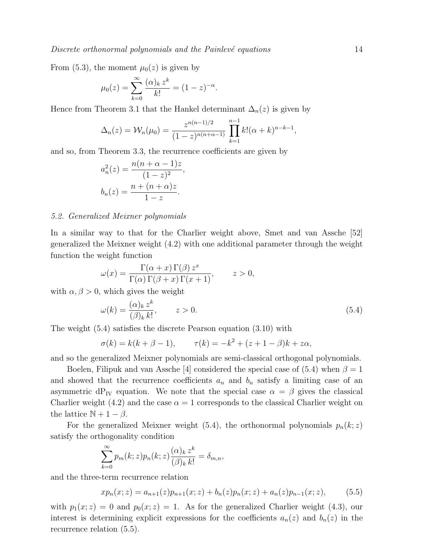From (5.3), the moment  $\mu_0(z)$  is given by

$$
\mu_0(z) = \sum_{k=0}^{\infty} \frac{(\alpha)_k z^k}{k!} = (1-z)^{-\alpha}.
$$

Hence from Theorem 3.1 that the Hankel determinant  $\Delta_n(z)$  is given by

$$
\Delta_n(z) = \mathcal{W}_n(\mu_0) = \frac{z^{n(n-1)/2}}{(1-z)^{n(n+\alpha-1)}} \prod_{k=1}^{n-1} k! (\alpha+k)^{n-k-1},
$$

and so, from Theorem 3.3, the recurrence coefficients are given by

$$
a_n^2(z) = \frac{n(n+\alpha-1)z}{(1-z)^2},
$$
  

$$
b_n(z) = \frac{n+(n+\alpha)z}{1-z}.
$$

#### 5.2. Generalized Meixner polynomials

In a similar way to that for the Charlier weight above, Smet and van Assche [52] generalized the Meixner weight (4.2) with one additional parameter through the weight function the weight function

$$
\omega(x) = \frac{\Gamma(\alpha + x) \Gamma(\beta) z^x}{\Gamma(\alpha) \Gamma(\beta + x) \Gamma(x + 1)}, \qquad z > 0,
$$

with  $\alpha, \beta > 0$ , which gives the weight

$$
\omega(k) = \frac{(\alpha)_k z^k}{(\beta)_k k!}, \qquad z > 0.
$$
\n(5.4)

The weight (5.4) satisfies the discrete Pearson equation (3.10) with

$$
\sigma(k) = k(k + \beta - 1),
$$
\n $\tau(k) = -k^2 + (z + 1 - \beta)k + z\alpha,$ 

and so the generalized Meixner polynomials are semi-classical orthogonal polynomials.

Boelen, Filipuk and van Assche [4] considered the special case of (5.4) when  $\beta = 1$ and showed that the recurrence coefficients  $a_n$  and  $b_n$  satisfy a limiting case of an asymmetric dP<sub>IV</sub> equation. We note that the special case  $\alpha = \beta$  gives the classical Charlier weight (4.2) and the case  $\alpha = 1$  corresponds to the classical Charlier weight on the lattice  $N + 1 - \beta$ .

For the generalized Meixner weight (5.4), the orthonormal polynomials  $p_n(k; z)$ satisfy the orthogonality condition

$$
\sum_{k=0}^{\infty} p_m(k; z) p_n(k; z) \frac{(\alpha)_k z^k}{(\beta)_k k!} = \delta_{m,n},
$$

and the three-term recurrence relation

$$
xp_n(x; z) = a_{n+1}(z)p_{n+1}(x; z) + b_n(z)p_n(x; z) + a_n(z)p_{n-1}(x; z),
$$
 (5.5)

with  $p_1(x; z) = 0$  and  $p_0(x; z) = 1$ . As for the generalized Charlier weight (4.3), our interest is determining explicit expressions for the coefficients  $a_n(z)$  and  $b_n(z)$  in the recurrence relation (5.5).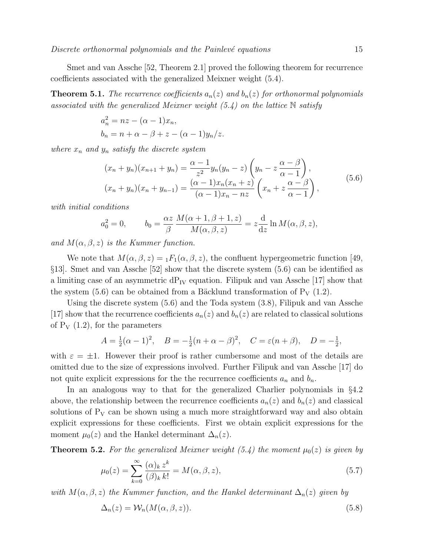Smet and van Assche [52, Theorem 2.1] proved the following theorem for recurrence coefficients associated with the generalized Meixner weight (5.4).

**Theorem 5.1.** The recurrence coefficients  $a_n(z)$  and  $b_n(z)$  for orthonormal polynomials associated with the generalized Meixner weight  $(5.4)$  on the lattice N satisfy

$$
a_n^2 = nz - (\alpha - 1)x_n,
$$
  
\n
$$
b_n = n + \alpha - \beta + z - (\alpha - 1)y_n/z.
$$

where  $x_n$  and  $y_n$  satisfy the discrete system

$$
(x_n + y_n)(x_{n+1} + y_n) = \frac{\alpha - 1}{z^2} y_n (y_n - z) \left( y_n - z \frac{\alpha - \beta}{\alpha - 1} \right),
$$
  

$$
(x_n + y_n)(x_n + y_{n-1}) = \frac{(\alpha - 1)x_n (x_n + z)}{(\alpha - 1)x_n - nz} \left( x_n + z \frac{\alpha - \beta}{\alpha - 1} \right),
$$
 (5.6)

with initial conditions

$$
a_0^2 = 0, \qquad b_0 = \frac{\alpha z}{\beta} \frac{M(\alpha + 1, \beta + 1, z)}{M(\alpha, \beta, z)} = z \frac{d}{dz} \ln M(\alpha, \beta, z),
$$

and  $M(\alpha, \beta, z)$  is the Kummer function.

We note that  $M(\alpha, \beta, z) = {}_1F_1(\alpha, \beta, z)$ , the confluent hypergeometric function [49, §13]. Smet and van Assche [52] show that the discrete system (5.6) can be identified as a limiting case of an asymmetric  $dP_{IV}$  equation. Filipuk and van Assche [17] show that the system (5.6) can be obtained from a Bäcklund transformation of  $P_V$  (1.2).

Using the discrete system (5.6) and the Toda system (3.8), Filipuk and van Assche [17] show that the recurrence coefficients  $a_n(z)$  and  $b_n(z)$  are related to classical solutions of  $P_V$  (1.2), for the parameters

$$
A = \frac{1}{2}(\alpha - 1)^2
$$
,  $B = -\frac{1}{2}(n + \alpha - \beta)^2$ ,  $C = \varepsilon(n + \beta)$ ,  $D = -\frac{1}{2}$ ,

with  $\varepsilon = \pm 1$ . However their proof is rather cumbersome and most of the details are omitted due to the size of expressions involved. Further Filipuk and van Assche [17] do not quite explicit expressions for the the recurrence coefficients  $a_n$  and  $b_n$ .

In an analogous way to that for the generalized Charlier polynomials in §4.2 above, the relationship between the recurrence coefficients  $a_n(z)$  and  $b_n(z)$  and classical solutions of  $P_V$  can be shown using a much more straightforward way and also obtain explicit expressions for these coefficients. First we obtain explicit expressions for the moment  $\mu_0(z)$  and the Hankel determinant  $\Delta_n(z)$ .

**Theorem 5.2.** For the generalized Meixner weight  $(5.4)$  the moment  $\mu_0(z)$  is given by

$$
\mu_0(z) = \sum_{k=0}^{\infty} \frac{(\alpha)_k z^k}{(\beta)_k k!} = M(\alpha, \beta, z),\tag{5.7}
$$

with  $M(\alpha, \beta, z)$  the Kummer function, and the Hankel determinant  $\Delta_n(z)$  given by

$$
\Delta_n(z) = \mathcal{W}_n(M(\alpha, \beta, z)). \tag{5.8}
$$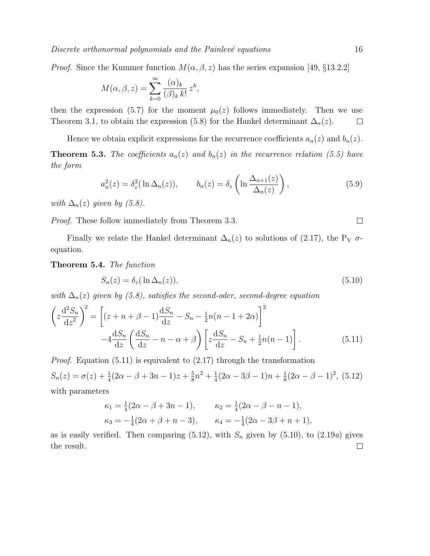*Proof.* Since the Kummer function  $M(\alpha, \beta, z)$  has the series expansion [49, §13.2.2]

$$
M(\alpha, \beta, z) = \sum_{k=0}^{\infty} \frac{(\alpha)_k}{(\beta)_k k!} z^k,
$$

then the expression (5.7) for the moment  $\mu_0(z)$  follows immediately. Then we use Theorem 3.1, to obtain the expression (5.8) for the Hankel determinant  $\Delta_n(z)$ .  $\Box$ 

Hence we obtain explicit expressions for the recurrence coefficients  $a_n(z)$  and  $b_n(z)$ .

**Theorem 5.3.** The coefficients  $a_n(z)$  and  $b_n(z)$  in the recurrence relation (5.5) have the form

$$
a_n^2(z) = \delta_z^2(\ln \Delta_n(z)), \qquad b_n(z) = \delta_z\left(\ln \frac{\Delta_{n+1}(z)}{\Delta_n(z)}\right),\tag{5.9}
$$

with  $\Delta_n(z)$  given by (5.8).

Proof. These follow immediately from Theorem 3.3.

Finally we relate the Hankel determinant  $\Delta_n(z)$  to solutions of (2.17), the P<sub>V</sub>  $\sigma$ equation.

Theorem 5.4. The function

$$
S_n(z) = \delta_z(\ln \Delta_n(z)),\tag{5.10}
$$

with  $\Delta_n(z)$  given by (5.8), satisfies the second-oder, second-degree equation

$$
\left(z\frac{d^2S_n}{dz^2}\right)^2 = \left[ (z+n+\beta-1)\frac{dS_n}{dz} - S_n - \frac{1}{2}n(n-1+2\alpha) \right]^2
$$

$$
-4\frac{dS_n}{dz} \left(\frac{dS_n}{dz} - n - \alpha + \beta\right) \left[z\frac{dS_n}{dz} - S_n + \frac{1}{2}n(n-1)\right].
$$
(5.11)

*Proof.* Equation  $(5.11)$  is equivalent to  $(2.17)$  through the transformation

$$
S_n(z) = \sigma(z) + \frac{1}{4}(2\alpha - \beta + 3n - 1)z + \frac{5}{8}n^2 + \frac{1}{4}(2\alpha - 3\beta - 1)n + \frac{1}{8}(2\alpha - \beta - 1)^2, (5.12)
$$

with parameters

$$
\kappa_1 = \frac{1}{4}(2\alpha - \beta + 3n - 1), \qquad \kappa_2 = \frac{1}{4}(2\alpha - \beta - n - 1),
$$
  

$$
\kappa_3 = -\frac{1}{4}(2\alpha + \beta + n - 3), \qquad \kappa_4 = -\frac{1}{4}(2\alpha - 3\beta + n + 1),
$$

as is easily verified. Then comparing  $(5.12)$ , with  $S_n$  given by  $(5.10)$ , to  $(2.19a)$  gives the result. $\Box$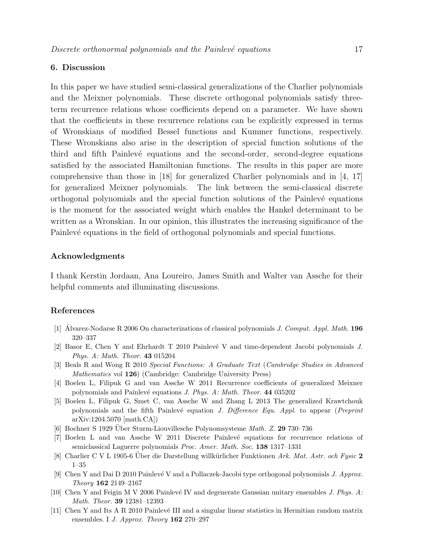#### 6. Discussion

In this paper we have studied semi-classical generalizations of the Charlier polynomials and the Meixner polynomials. These discrete orthogonal polynomials satisfy threeterm recurrence relations whose coefficients depend on a parameter. We have shown that the coefficients in these recurrence relations can be explicitly expressed in terms of Wronskians of modified Bessel functions and Kummer functions, respectively. These Wronskians also arise in the description of special function solutions of the third and fifth Painlevé equations and the second-order, second-degree equations satisfied by the associated Hamiltonian functions. The results in this paper are more comprehensive than those in [18] for generalized Charlier polynomials and in [4, 17] for generalized Meixner polynomials. The link between the semi-classical discrete orthogonal polynomials and the special function solutions of the Painlevé equations is the moment for the associated weight which enables the Hankel determinant to be written as a Wronskian. In our opinion, this illustrates the increasing significance of the Painlevé equations in the field of orthogonal polynomials and special functions.

#### Acknowledgments

I thank Kerstin Jordaan, Ana Loureiro, James Smith and Walter van Assche for their helpful comments and illuminating discussions.

#### References

- [1] Alvarez-Nodarse R 2006 On characterizations of classical polynomials  $J.$  Comput. Appl. Math. 196 320–337
- [2] Basor E, Chen Y and Ehrhardt T 2010 Painlevé V and time-dependent Jacobi polynomials J. Phys. A: Math. Theor. 43 015204
- [3] Beals R and Wong R 2010 Special Functions: A Graduate Text (Cambridge Studies in Advanced Mathematics vol 126) (Cambridge: Cambridge University Press)
- [4] Boelen L, Filipuk G and van Assche W 2011 Recurrence coefficients of generalized Meixner polynomials and Painlevé equations *J. Phys. A: Math. Theor.* 44 035202
- [5] Boelen L, Filipuk G, Smet C, van Assche W and Zhang L 2013 The generalized Krawtchouk polynomials and the fifth Painlevé equation J. Difference Equ. Appl. to appear (Preprint arXiv:1204.5070 [math.CA])
- $[6]$  Bochner S 1929 Über Sturm-Liouvillesche Polynomsysteme *Math. Z.* 29 730–736
- [7] Boelen L and van Assche W 2011 Discrete Painlev´e equations for recurrence relations of semiclassical Laguerre polynomials Proc. Amer. Math. Soc. 138 1317–1331
- [8] Charlier C V L 1905-6 Über die Darstellung willkürlicher Funktionen Ark. Mat. Astr. och Fysic 2 1–35
- [9] Chen Y and Dai D 2010 Painlevé V and a Pollaczek-Jacobi type orthogonal polynomials J. Approx. Theory 162 2149–2167
- [10] Chen Y and Feigin M V 2006 Painlevé IV and degenerate Gaussian unitary ensembles J. Phys. A: Math. Theor. 39 12381–12393
- [11] Chen Y and Its A R 2010 Painlev´e III and a singular linear statistics in Hermitian random matrix ensembles. I *J. Approx. Theory* **162** 270–297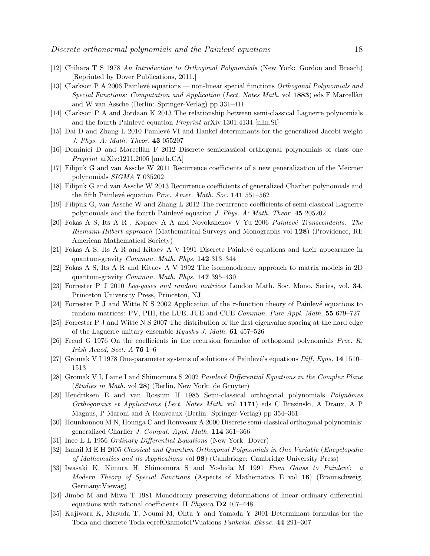- [12] Chihara T S 1978 An Introduction to Orthogonal Polynomials (New York: Gordon and Breach) [Reprinted by Dover Publications, 2011.]
- [13] Clarkson P A 2006 Painlevé equations non-linear special functions Orthogonal Polynomials and Special Functions: Computation and Application (Lect. Notes Math. vol 1883) eds F Marcellàn and W van Assche (Berlin: Springer-Verlag) pp 331–411
- [14] Clarkson P A and Jordaan K 2013 The relationship between semi-classical Laguerre polynomials and the fourth Painlevé equation *Preprint* arXiv:1301.4134 [nlin.SI]
- [15] Dai D and Zhang L 2010 Painlevé VI and Hankel determinants for the generalized Jacobi weight J. Phys. A: Math. Theor. 43 055207
- [16] Dominici D and Marcell`an F 2012 Discrete semiclassical orthogonal polynomials of class one Preprint arXiv:1211.2005 [math.CA]
- [17] Filipuk G and van Assche W 2011 Recurrence coefficients of a new generalization of the Meixner polynomials SIGMA 7 035202
- [18] Filipuk G and van Assche W 2013 Recurrence coefficients of generalized Charlier polynomials and the fifth Painlevé equation Proc. Amer. Math. Soc.  $141$  551–562
- [19] Filipuk G, van Assche W and Zhang L 2012 The recurrence coefficients of semi-classical Laguerre polynomials and the fourth Painlev´e equation J. Phys. A: Math. Theor. 45 205202
- [20] Fokas A S, Its A R, Kapaev A A and Novokshenov V Yu 2006 Painlevé Transcendents: The Riemann-Hilbert approach (Mathematical Surveys and Monographs vol 128) (Providence, RI: American Mathematical Society)
- [21] Fokas A S, Its A R and Kitaev A V 1991 Discrete Painlevé equations and their appearance in quantum-gravity Commun. Math. Phys. 142 313–344
- [22] Fokas A S, Its A R and Kitaev A V 1992 The isomonodromy approach to matrix models in 2D quantum-gravity Commun. Math. Phys. 147 395–430
- [23] Forrester P J 2010 Log-gases and random matrices London Math. Soc. Mono. Series, vol. 34, Princeton University Press, Princeton, NJ
- [24] Forrester P J and Witte N S 2002 Application of the  $\tau$ -function theory of Painlevé equations to random matrices: PV, PIII, the LUE, JUE and CUE Commun. Pure Appl. Math. 55 679–727
- [25] Forrester P J and Witte N S 2007 The distribution of the first eigenvalue spacing at the hard edge of the Laguerre unitary ensemble Kyushu J. Math. 61 457–526
- [26] Freud G 1976 On the coefficients in the recursion formulae of orthogonal polynomials Proc. R. *Irish Acacd, Sect. A*  $76$  1–6
- [27] Gromak V I 1978 One-parameter systems of solutions of Painlevé's equations Diff. Eqns. 14 1510– 1513
- [28] Gromak V I, Laine I and Shimomura S 2002 Painlevé Differential Equations in the Complex Plane (Studies in Math. vol 28) (Berlin, New York: de Gruyter)
- [29] Hendriksen E and van Rossum H 1985 Semi-classical orthogonal polynomials  $Polynômes$ Orthogonaux et Applications (Lect. Notes Math. vol 1171) eds C Brezinski, A Draux, A P Magnus, P Maroni and A Ronveaux (Berlin: Springer-Verlag) pp 354–361
- [30] Hounkonnou M N, Hounga C and Ronveaux A 2000 Discrete semi-classical orthogonal polynomials: generalized Charlier J. Comput. Appl. Math. 114 361–366
- [31] Ince E L 1956 Ordinary Differential Equations (New York: Dover)
- [32] Ismail M E H 2005 Classical and Quantum Orthogonal Polynomials in One Variable (Encyclopedia of Mathematics and its Applications vol 98) (Cambridge: Cambridge University Press)
- [33] Iwasaki K, Kimura H, Shimomura S and Yoshida M 1991 From Gauss to Painlevé: a Modern Theory of Special Functions (Aspects of Mathematics E vol 16) (Braunschweig, Germany:Viewag)
- [34] Jimbo M and Miwa T 1981 Monodromy preserving deformations of linear ordinary differential equations with rational coefficients. II Physica D2 407–448
- [35] Kajiwara K, Masuda T, Noumi M, Ohta Y and Yamada Y 2001 Determinant formulas for the Toda and discrete Toda eqrefOkamotoPVuations Funkcial. Ekvac. 44 291–307